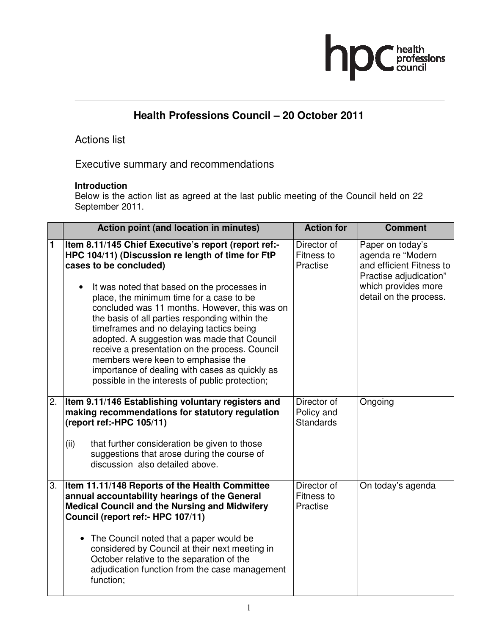# hp health<br>professions<br>council

## **Health Professions Council – 20 October 2011**

### Actions list

Executive summary and recommendations

#### **Introduction**

Below is the action list as agreed at the last public meeting of the Council held on 22 September 2011.

|    | Action point (and location in minutes)                                                                                                                                                                                                                                                                                                                                                                                                                                                                                                                                                                                                 | <b>Action for</b>                             | <b>Comment</b>                                                                                                                               |
|----|----------------------------------------------------------------------------------------------------------------------------------------------------------------------------------------------------------------------------------------------------------------------------------------------------------------------------------------------------------------------------------------------------------------------------------------------------------------------------------------------------------------------------------------------------------------------------------------------------------------------------------------|-----------------------------------------------|----------------------------------------------------------------------------------------------------------------------------------------------|
| 1  | Item 8.11/145 Chief Executive's report (report ref:-<br>HPC 104/11) (Discussion re length of time for FtP<br>cases to be concluded)<br>It was noted that based on the processes in<br>$\bullet$<br>place, the minimum time for a case to be<br>concluded was 11 months. However, this was on<br>the basis of all parties responding within the<br>timeframes and no delaying tactics being<br>adopted. A suggestion was made that Council<br>receive a presentation on the process. Council<br>members were keen to emphasise the<br>importance of dealing with cases as quickly as<br>possible in the interests of public protection; | Director of<br>Fitness to<br>Practise         | Paper on today's<br>agenda re "Modern<br>and efficient Fitness to<br>Practise adjudication"<br>which provides more<br>detail on the process. |
| 2. | Item 9.11/146 Establishing voluntary registers and<br>making recommendations for statutory regulation<br>(report ref:-HPC 105/11)<br>that further consideration be given to those<br>(ii)<br>suggestions that arose during the course of<br>discussion also detailed above.                                                                                                                                                                                                                                                                                                                                                            | Director of<br>Policy and<br><b>Standards</b> | Ongoing                                                                                                                                      |
| 3. | Item 11.11/148 Reports of the Health Committee<br>annual accountability hearings of the General<br><b>Medical Council and the Nursing and Midwifery</b><br>Council (report ref:- HPC 107/11)<br>• The Council noted that a paper would be<br>considered by Council at their next meeting in<br>October relative to the separation of the<br>adjudication function from the case management<br>function;                                                                                                                                                                                                                                | Director of<br>Fitness to<br>Practise         | On today's agenda                                                                                                                            |